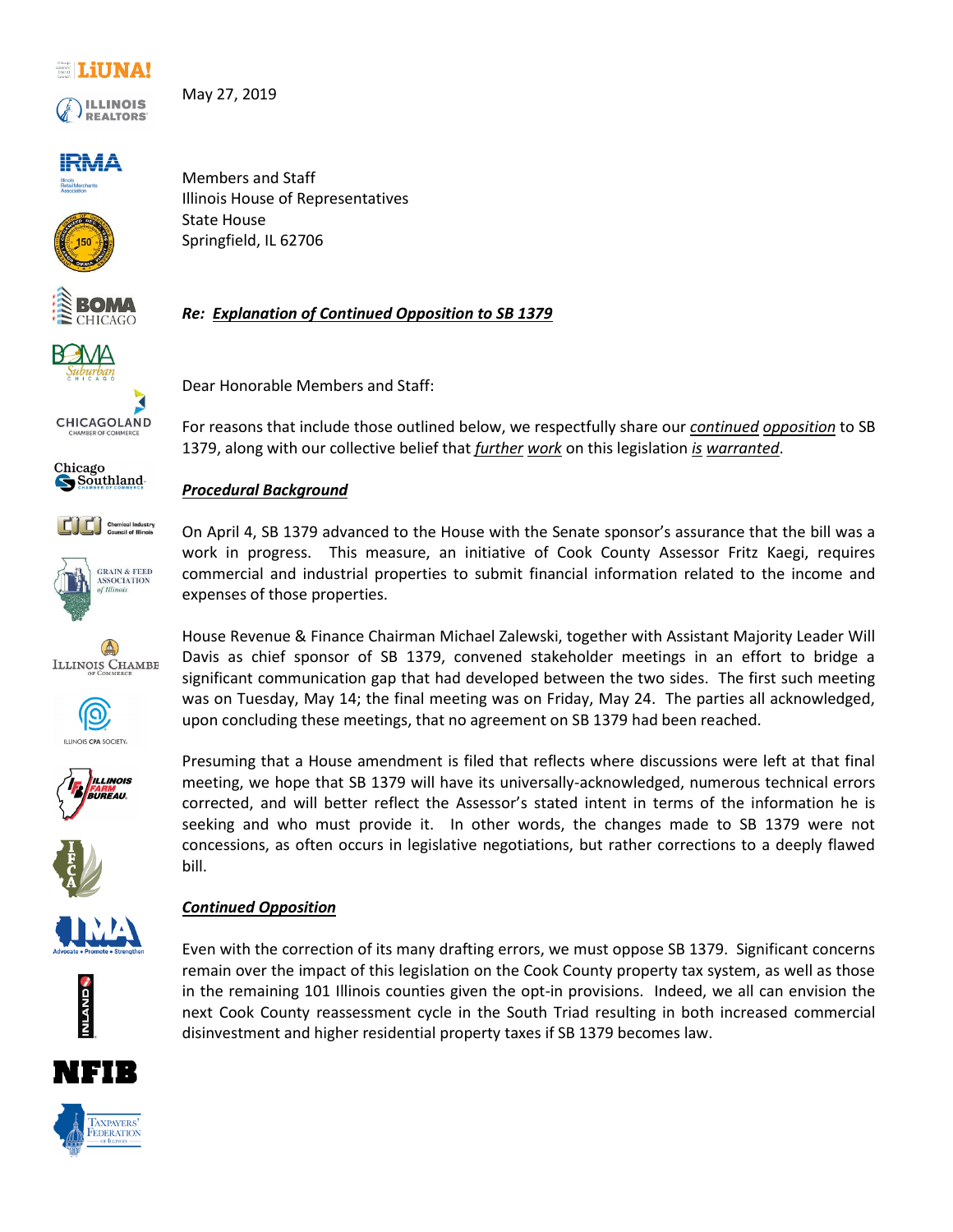### **ELUNA!**



May 27, 2019

## **IRMA**



Members and Staff Illinois House of Representatives State House Springfield, IL 62706

Dear Honorable Members and Staff:



*Re: Explanation of Continued Opposition to SB 1379*



CHICAGOLAND















#### *Continued Opposition*



expenses of those properties.

*Procedural Background*

House Revenue & Finance Chairman Michael Zalewski, together with Assistant Majority Leader Will Davis as chief sponsor of SB 1379, convened stakeholder meetings in an effort to bridge a significant communication gap that had developed between the two sides. The first such meeting was on Tuesday, May 14; the final meeting was on Friday, May 24. The parties all acknowledged, upon concluding these meetings, that no agreement on SB 1379 had been reached.

For reasons that include those outlined below, we respectfully share our *continued opposition* to SB

On April 4, SB 1379 advanced to the House with the Senate sponsor's assurance that the bill was a work in progress. This measure, an initiative of Cook County Assessor Fritz Kaegi, requires commercial and industrial properties to submit financial information related to the income and

1379, along with our collective belief that *further work* on this legislation *is warranted*.

Presuming that a House amendment is filed that reflects where discussions were left at that final meeting, we hope that SB 1379 will have its universally-acknowledged, numerous technical errors corrected, and will better reflect the Assessor's stated intent in terms of the information he is seeking and who must provide it. In other words, the changes made to SB 1379 were not concessions, as often occurs in legislative negotiations, but rather corrections to a deeply flawed bill.

# Even with the correction of its many drafting errors, we must oppose SB 1379. Significant concerns remain over the impact of this legislation on the Cook County property tax system, as well as those

in the remaining 101 Illinois counties given the opt-in provisions. Indeed, we all can envision the next Cook County reassessment cycle in the South Triad resulting in both increased commercial disinvestment and higher residential property taxes if SB 1379 becomes law.



TAXPAYERS FEDERATION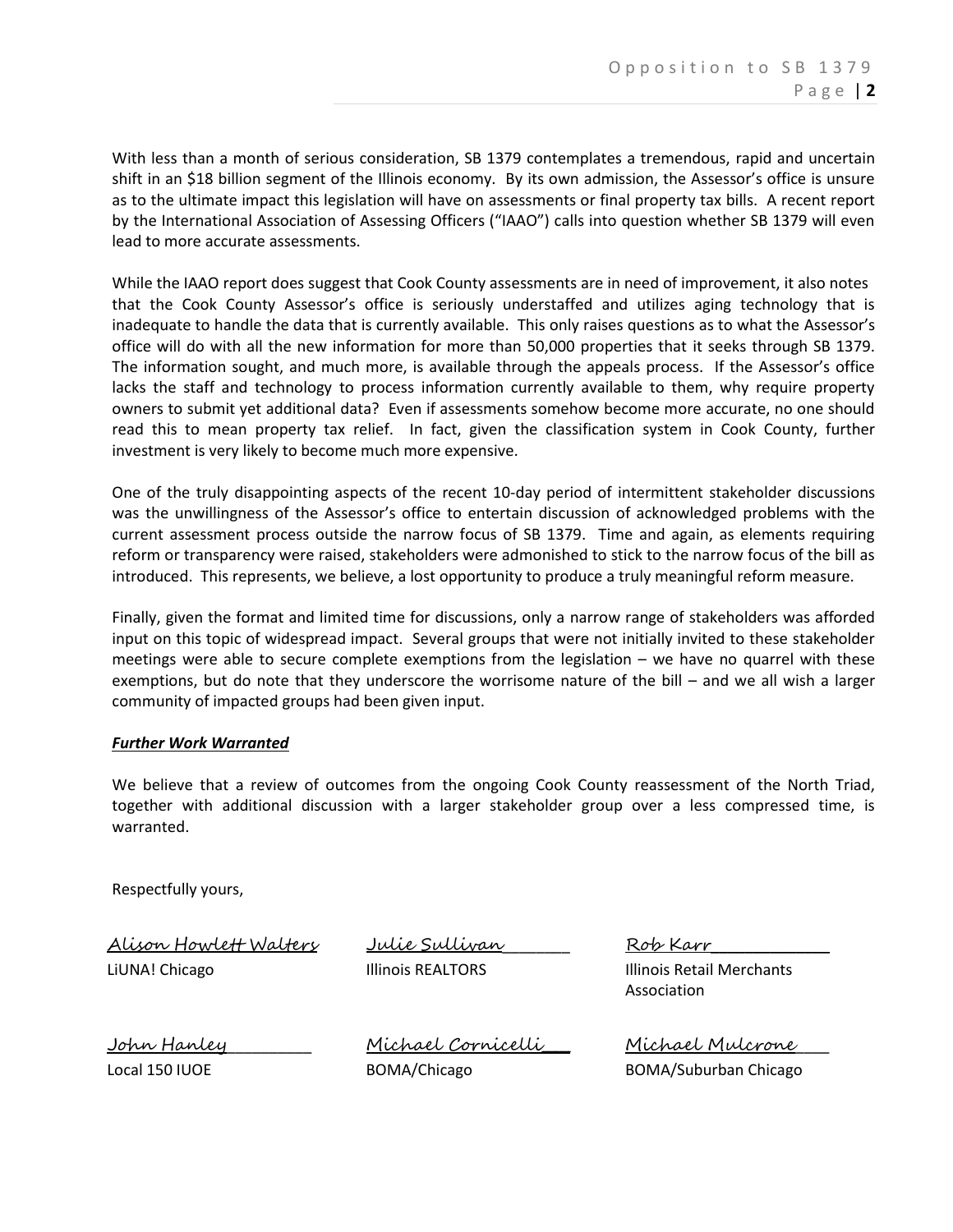With less than a month of serious consideration, SB 1379 contemplates a tremendous, rapid and uncertain shift in an \$18 billion segment of the Illinois economy. By its own admission, the Assessor's office is unsure as to the ultimate impact this legislation will have on assessments or final property tax bills. A recent report by the International Association of Assessing Officers ("IAAO") calls into question whether SB 1379 will even lead to more accurate assessments.

While the IAAO report does suggest that Cook County assessments are in need of improvement, it also notes that the Cook County Assessor's office is seriously understaffed and utilizes aging technology that is inadequate to handle the data that is currently available. This only raises questions as to what the Assessor's office will do with all the new information for more than 50,000 properties that it seeks through SB 1379. The information sought, and much more, is available through the appeals process. If the Assessor's office lacks the staff and technology to process information currently available to them, why require property owners to submit yet additional data? Even if assessments somehow become more accurate, no one should read this to mean property tax relief. In fact, given the classification system in Cook County, further investment is very likely to become much more expensive.

One of the truly disappointing aspects of the recent 10-day period of intermittent stakeholder discussions was the unwillingness of the Assessor's office to entertain discussion of acknowledged problems with the current assessment process outside the narrow focus of SB 1379. Time and again, as elements requiring reform or transparency were raised, stakeholders were admonished to stick to the narrow focus of the bill as introduced. This represents, we believe, a lost opportunity to produce a truly meaningful reform measure.

Finally, given the format and limited time for discussions, only a narrow range of stakeholders was afforded input on this topic of widespread impact. Several groups that were not initially invited to these stakeholder meetings were able to secure complete exemptions from the legislation – we have no quarrel with these exemptions, but do note that they underscore the worrisome nature of the bill – and we all wish a larger community of impacted groups had been given input.

#### *Further Work Warranted*

We believe that a review of outcomes from the ongoing Cook County reassessment of the North Triad, together with additional discussion with a larger stakeholder group over a less compressed time, is warranted.

Respectfully yours,

Alison Howlett Walters LiUNA! Chicago Julie Sullivan\_\_\_\_\_\_\_\_ Illinois REALTORS

Rob Karr\_\_\_\_\_\_\_\_\_\_\_\_\_\_ Illinois Retail Merchants Association

John Hanley\_\_\_\_\_\_\_\_\_\_ Local 150 IUOE

Michael Cornicelli\_\_\_\_ BOMA/Chicago

Michael Mulcrone\_\_\_\_ BOMA/Suburban Chicago